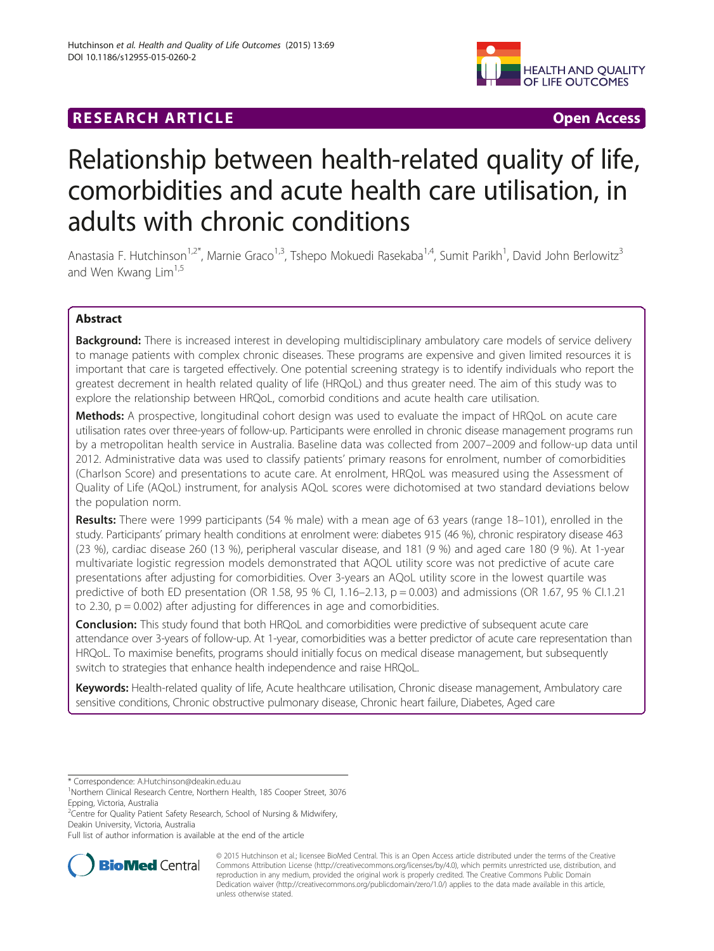## **RESEARCH ARTICLE Example 2018 12:00 Department of the CONNECTION CONNECTION CONNECTION CONNECTION**



# Relationship between health-related quality of life, comorbidities and acute health care utilisation, in adults with chronic conditions

Anastasia F. Hutchinson<sup>1,2\*</sup>, Marnie Graco<sup>1,3</sup>, Tshepo Mokuedi Rasekaba<sup>1,4</sup>, Sumit Parikh<sup>1</sup>, David John Berlowitz<sup>3</sup> and Wen Kwang Lim<sup>1,5</sup>

## Abstract

Background: There is increased interest in developing multidisciplinary ambulatory care models of service delivery to manage patients with complex chronic diseases. These programs are expensive and given limited resources it is important that care is targeted effectively. One potential screening strategy is to identify individuals who report the greatest decrement in health related quality of life (HRQoL) and thus greater need. The aim of this study was to explore the relationship between HRQoL, comorbid conditions and acute health care utilisation.

Methods: A prospective, longitudinal cohort design was used to evaluate the impact of HRQoL on acute care utilisation rates over three-years of follow-up. Participants were enrolled in chronic disease management programs run by a metropolitan health service in Australia. Baseline data was collected from 2007–2009 and follow-up data until 2012. Administrative data was used to classify patients' primary reasons for enrolment, number of comorbidities (Charlson Score) and presentations to acute care. At enrolment, HRQoL was measured using the Assessment of Quality of Life (AQoL) instrument, for analysis AQoL scores were dichotomised at two standard deviations below the population norm.

Results: There were 1999 participants (54 % male) with a mean age of 63 years (range 18–101), enrolled in the study. Participants' primary health conditions at enrolment were: diabetes 915 (46 %), chronic respiratory disease 463 (23 %), cardiac disease 260 (13 %), peripheral vascular disease, and 181 (9 %) and aged care 180 (9 %). At 1-year multivariate logistic regression models demonstrated that AQOL utility score was not predictive of acute care presentations after adjusting for comorbidities. Over 3-years an AQoL utility score in the lowest quartile was predictive of both ED presentation (OR 1.58, 95 % CI, 1.16–2.13, p = 0.003) and admissions (OR 1.67, 95 % CI.1.21 to 2.30,  $p = 0.002$ ) after adjusting for differences in age and comorbidities.

**Conclusion:** This study found that both HRQoL and comorbidities were predictive of subsequent acute care attendance over 3-years of follow-up. At 1-year, comorbidities was a better predictor of acute care representation than HRQoL. To maximise benefits, programs should initially focus on medical disease management, but subsequently switch to strategies that enhance health independence and raise HRQoL.

Keywords: Health-related quality of life, Acute healthcare utilisation, Chronic disease management, Ambulatory care sensitive conditions, Chronic obstructive pulmonary disease, Chronic heart failure, Diabetes, Aged care

<sup>2</sup> Centre for Quality Patient Safety Research, School of Nursing & Midwifery, Deakin University, Victoria, Australia

Full list of author information is available at the end of the article



© 2015 Hutchinson et al.; licensee BioMed Central. This is an Open Access article distributed under the terms of the Creative Commons Attribution License [\(http://creativecommons.org/licenses/by/4.0\)](http://creativecommons.org/licenses/by/4.0), which permits unrestricted use, distribution, and reproduction in any medium, provided the original work is properly credited. The Creative Commons Public Domain Dedication waiver [\(http://creativecommons.org/publicdomain/zero/1.0/](http://creativecommons.org/publicdomain/zero/1.0/)) applies to the data made available in this article, unless otherwise stated.

<sup>\*</sup> Correspondence: [A.Hutchinson@deakin.edu.au](mailto:A.Hutchinson@deakin.edu.au) <sup>1</sup>

<sup>&</sup>lt;sup>1</sup>Northern Clinical Research Centre, Northern Health, 185 Cooper Street, 3076 Epping, Victoria, Australia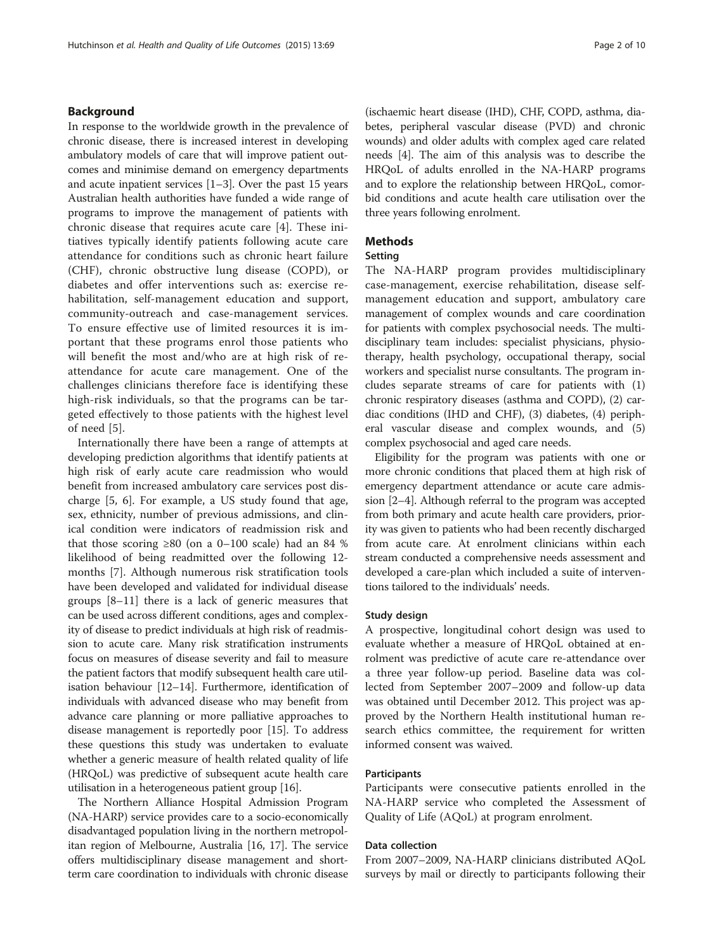## Background

In response to the worldwide growth in the prevalence of chronic disease, there is increased interest in developing ambulatory models of care that will improve patient outcomes and minimise demand on emergency departments and acute inpatient services [\[1](#page-8-0)–[3\]](#page-8-0). Over the past 15 years Australian health authorities have funded a wide range of programs to improve the management of patients with chronic disease that requires acute care [\[4](#page-8-0)]. These initiatives typically identify patients following acute care attendance for conditions such as chronic heart failure (CHF), chronic obstructive lung disease (COPD), or diabetes and offer interventions such as: exercise rehabilitation, self-management education and support, community-outreach and case-management services. To ensure effective use of limited resources it is important that these programs enrol those patients who will benefit the most and/who are at high risk of reattendance for acute care management. One of the challenges clinicians therefore face is identifying these high-risk individuals, so that the programs can be targeted effectively to those patients with the highest level of need [[5\]](#page-8-0).

Internationally there have been a range of attempts at developing prediction algorithms that identify patients at high risk of early acute care readmission who would benefit from increased ambulatory care services post discharge [[5, 6](#page-8-0)]. For example, a US study found that age, sex, ethnicity, number of previous admissions, and clinical condition were indicators of readmission risk and that those scoring ≥80 (on a 0–100 scale) had an 84 % likelihood of being readmitted over the following 12 months [[7\]](#page-8-0). Although numerous risk stratification tools have been developed and validated for individual disease groups [\[8](#page-8-0)–[11\]](#page-8-0) there is a lack of generic measures that can be used across different conditions, ages and complexity of disease to predict individuals at high risk of readmission to acute care. Many risk stratification instruments focus on measures of disease severity and fail to measure the patient factors that modify subsequent health care utilisation behaviour [\[12](#page-8-0)–[14](#page-8-0)]. Furthermore, identification of individuals with advanced disease who may benefit from advance care planning or more palliative approaches to disease management is reportedly poor [\[15\]](#page-8-0). To address these questions this study was undertaken to evaluate whether a generic measure of health related quality of life (HRQoL) was predictive of subsequent acute health care utilisation in a heterogeneous patient group [[16](#page-8-0)].

The Northern Alliance Hospital Admission Program (NA-HARP) service provides care to a socio-economically disadvantaged population living in the northern metropolitan region of Melbourne, Australia [\[16](#page-8-0), [17](#page-9-0)]. The service offers multidisciplinary disease management and shortterm care coordination to individuals with chronic disease (ischaemic heart disease (IHD), CHF, COPD, asthma, diabetes, peripheral vascular disease (PVD) and chronic wounds) and older adults with complex aged care related needs [\[4](#page-8-0)]. The aim of this analysis was to describe the HRQoL of adults enrolled in the NA-HARP programs and to explore the relationship between HRQoL, comorbid conditions and acute health care utilisation over the three years following enrolment.

## Methods

#### Setting

The NA-HARP program provides multidisciplinary case-management, exercise rehabilitation, disease selfmanagement education and support, ambulatory care management of complex wounds and care coordination for patients with complex psychosocial needs. The multidisciplinary team includes: specialist physicians, physiotherapy, health psychology, occupational therapy, social workers and specialist nurse consultants. The program includes separate streams of care for patients with (1) chronic respiratory diseases (asthma and COPD), (2) cardiac conditions (IHD and CHF), (3) diabetes, (4) peripheral vascular disease and complex wounds, and (5) complex psychosocial and aged care needs.

Eligibility for the program was patients with one or more chronic conditions that placed them at high risk of emergency department attendance or acute care admission [\[2](#page-8-0)–[4\]](#page-8-0). Although referral to the program was accepted from both primary and acute health care providers, priority was given to patients who had been recently discharged from acute care. At enrolment clinicians within each stream conducted a comprehensive needs assessment and developed a care-plan which included a suite of interventions tailored to the individuals' needs.

### Study design

A prospective, longitudinal cohort design was used to evaluate whether a measure of HRQoL obtained at enrolment was predictive of acute care re-attendance over a three year follow-up period. Baseline data was collected from September 2007–2009 and follow-up data was obtained until December 2012. This project was approved by the Northern Health institutional human research ethics committee, the requirement for written informed consent was waived.

## Participants

Participants were consecutive patients enrolled in the NA-HARP service who completed the Assessment of Quality of Life (AQoL) at program enrolment.

### Data collection

From 2007–2009, NA-HARP clinicians distributed AQoL surveys by mail or directly to participants following their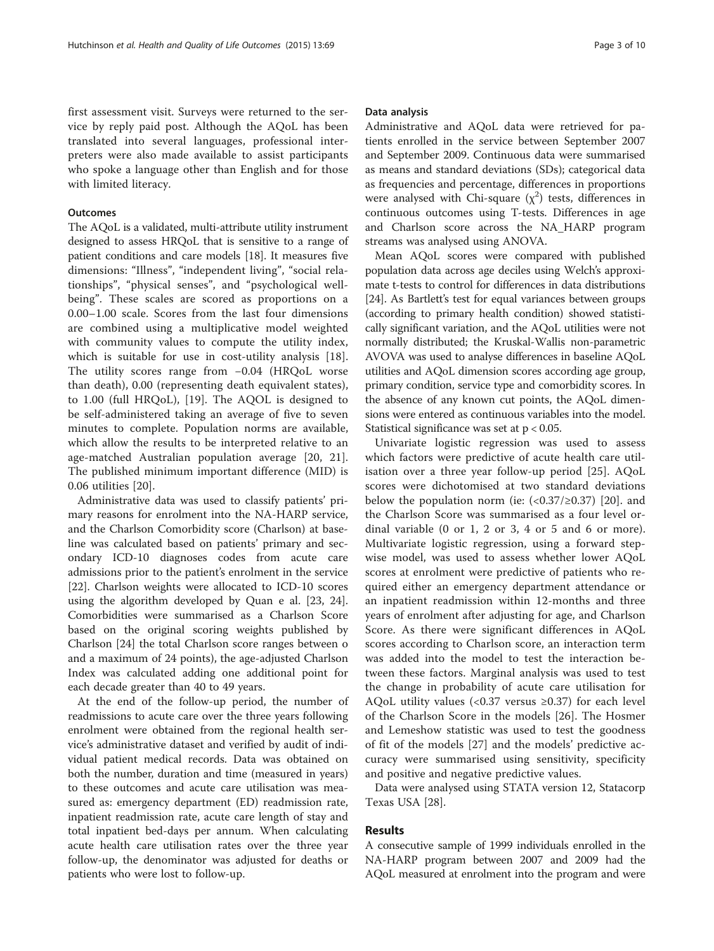first assessment visit. Surveys were returned to the service by reply paid post. Although the AQoL has been translated into several languages, professional interpreters were also made available to assist participants who spoke a language other than English and for those with limited literacy.

## **Outcomes**

The AQoL is a validated, multi-attribute utility instrument designed to assess HRQoL that is sensitive to a range of patient conditions and care models [\[18\]](#page-9-0). It measures five dimensions: "Illness", "independent living", "social relationships", "physical senses", and "psychological wellbeing". These scales are scored as proportions on a 0.00–1.00 scale. Scores from the last four dimensions are combined using a multiplicative model weighted with community values to compute the utility index, which is suitable for use in cost-utility analysis [[18](#page-9-0)]. The utility scores range from −0.04 (HRQoL worse than death), 0.00 (representing death equivalent states), to 1.00 (full HRQoL), [[19\]](#page-9-0). The AQOL is designed to be self-administered taking an average of five to seven minutes to complete. Population norms are available, which allow the results to be interpreted relative to an age-matched Australian population average [[20, 21](#page-9-0)]. The published minimum important difference (MID) is 0.06 utilities [[20\]](#page-9-0).

Administrative data was used to classify patients' primary reasons for enrolment into the NA-HARP service, and the Charlson Comorbidity score (Charlson) at baseline was calculated based on patients' primary and secondary ICD-10 diagnoses codes from acute care admissions prior to the patient's enrolment in the service [[22\]](#page-9-0). Charlson weights were allocated to ICD-10 scores using the algorithm developed by Quan e al. [[23, 24](#page-9-0)]. Comorbidities were summarised as a Charlson Score based on the original scoring weights published by Charlson [[24\]](#page-9-0) the total Charlson score ranges between o and a maximum of 24 points), the age-adjusted Charlson Index was calculated adding one additional point for each decade greater than 40 to 49 years.

At the end of the follow-up period, the number of readmissions to acute care over the three years following enrolment were obtained from the regional health service's administrative dataset and verified by audit of individual patient medical records. Data was obtained on both the number, duration and time (measured in years) to these outcomes and acute care utilisation was measured as: emergency department (ED) readmission rate, inpatient readmission rate, acute care length of stay and total inpatient bed-days per annum. When calculating acute health care utilisation rates over the three year follow-up, the denominator was adjusted for deaths or patients who were lost to follow-up.

#### Data analysis

Administrative and AQoL data were retrieved for patients enrolled in the service between September 2007 and September 2009. Continuous data were summarised as means and standard deviations (SDs); categorical data as frequencies and percentage, differences in proportions were analysed with Chi-square  $(\chi^2)$  tests, differences in continuous outcomes using T-tests. Differences in age and Charlson score across the NA\_HARP program streams was analysed using ANOVA.

Mean AQoL scores were compared with published population data across age deciles using Welch's approximate t-tests to control for differences in data distributions [[24](#page-9-0)]. As Bartlett's test for equal variances between groups (according to primary health condition) showed statistically significant variation, and the AQoL utilities were not normally distributed; the Kruskal-Wallis non-parametric AVOVA was used to analyse differences in baseline AQoL utilities and AQoL dimension scores according age group, primary condition, service type and comorbidity scores. In the absence of any known cut points, the AQoL dimensions were entered as continuous variables into the model. Statistical significance was set at p < 0.05.

Univariate logistic regression was used to assess which factors were predictive of acute health care utilisation over a three year follow-up period [\[25](#page-9-0)]. AQoL scores were dichotomised at two standard deviations below the population norm (ie:  $\langle 0.37/20.37 \rangle$  [\[20](#page-9-0)]. and the Charlson Score was summarised as a four level ordinal variable (0 or 1, 2 or 3, 4 or 5 and 6 or more). Multivariate logistic regression, using a forward stepwise model, was used to assess whether lower AQoL scores at enrolment were predictive of patients who required either an emergency department attendance or an inpatient readmission within 12-months and three years of enrolment after adjusting for age, and Charlson Score. As there were significant differences in AQoL scores according to Charlson score, an interaction term was added into the model to test the interaction between these factors. Marginal analysis was used to test the change in probability of acute care utilisation for AQoL utility values (< $0.37$  versus  $\geq 0.37$ ) for each level of the Charlson Score in the models [\[26](#page-9-0)]. The Hosmer and Lemeshow statistic was used to test the goodness of fit of the models [[27\]](#page-9-0) and the models' predictive accuracy were summarised using sensitivity, specificity and positive and negative predictive values.

Data were analysed using STATA version 12, Statacorp Texas USA [[28\]](#page-9-0).

## Results

A consecutive sample of 1999 individuals enrolled in the NA-HARP program between 2007 and 2009 had the AQoL measured at enrolment into the program and were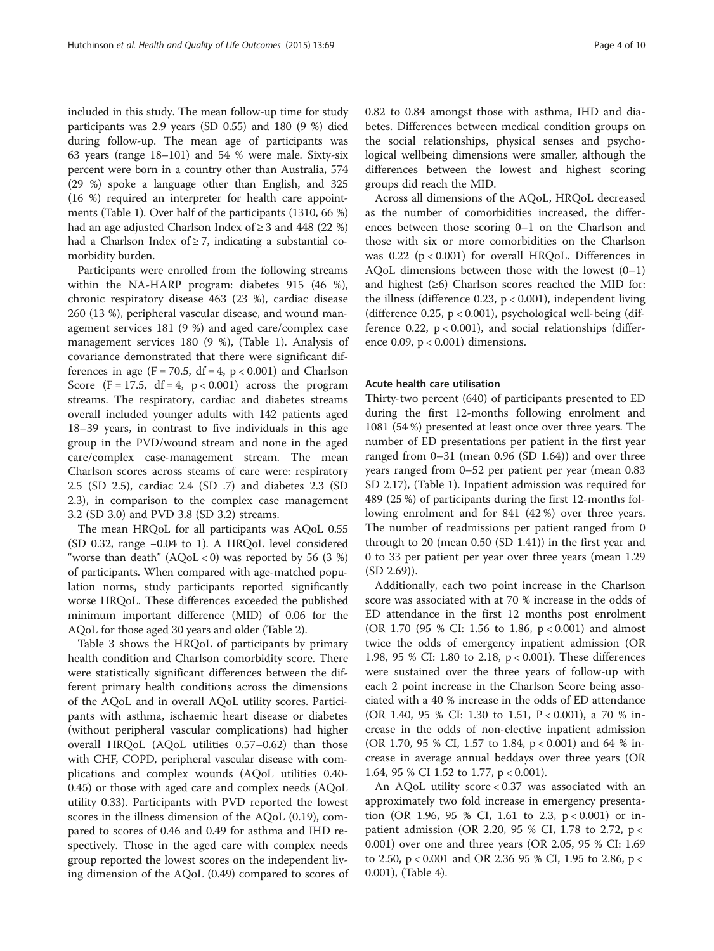included in this study. The mean follow-up time for study participants was 2.9 years (SD 0.55) and 180 (9 %) died during follow-up. The mean age of participants was 63 years (range 18–101) and 54 % were male. Sixty-six percent were born in a country other than Australia, 574 (29 %) spoke a language other than English, and 325 (16 %) required an interpreter for health care appointments (Table [1\)](#page-4-0). Over half of the participants (1310, 66 %) had an age adjusted Charlson Index of  $\geq$  3 and 448 (22 %) had a Charlson Index of  $\geq$  7, indicating a substantial comorbidity burden.

Participants were enrolled from the following streams within the NA-HARP program: diabetes 915 (46 %), chronic respiratory disease 463 (23 %), cardiac disease 260 (13 %), peripheral vascular disease, and wound management services 181 (9 %) and aged care/complex case management services 180 (9 %), (Table [1](#page-4-0)). Analysis of covariance demonstrated that there were significant differences in age ( $F = 70.5$ , df = 4,  $p < 0.001$ ) and Charlson Score  $(F = 17.5, df = 4, p < 0.001)$  across the program streams. The respiratory, cardiac and diabetes streams overall included younger adults with 142 patients aged 18–39 years, in contrast to five individuals in this age group in the PVD/wound stream and none in the aged care/complex case-management stream. The mean Charlson scores across steams of care were: respiratory 2.5 (SD 2.5), cardiac 2.4 (SD .7) and diabetes 2.3 (SD 2.3), in comparison to the complex case management 3.2 (SD 3.0) and PVD 3.8 (SD 3.2) streams.

The mean HRQoL for all participants was AQoL 0.55 (SD 0.32, range −0.04 to 1). A HRQoL level considered "worse than death"  $(AQoL < 0)$  was reported by 56 (3 %) of participants. When compared with age-matched population norms, study participants reported significantly worse HRQoL. These differences exceeded the published minimum important difference (MID) of 0.06 for the AQoL for those aged 30 years and older (Table [2](#page-5-0)).

Table [3](#page-6-0) shows the HRQoL of participants by primary health condition and Charlson comorbidity score. There were statistically significant differences between the different primary health conditions across the dimensions of the AQoL and in overall AQoL utility scores. Participants with asthma, ischaemic heart disease or diabetes (without peripheral vascular complications) had higher overall HRQoL (AQoL utilities 0.57–0.62) than those with CHF, COPD, peripheral vascular disease with complications and complex wounds (AQoL utilities 0.40- 0.45) or those with aged care and complex needs (AQoL utility 0.33). Participants with PVD reported the lowest scores in the illness dimension of the AQoL (0.19), compared to scores of 0.46 and 0.49 for asthma and IHD respectively. Those in the aged care with complex needs group reported the lowest scores on the independent living dimension of the AQoL (0.49) compared to scores of 0.82 to 0.84 amongst those with asthma, IHD and diabetes. Differences between medical condition groups on the social relationships, physical senses and psychological wellbeing dimensions were smaller, although the differences between the lowest and highest scoring groups did reach the MID.

Across all dimensions of the AQoL, HRQoL decreased as the number of comorbidities increased, the differences between those scoring 0–1 on the Charlson and those with six or more comorbidities on the Charlson was  $0.22$  ( $p < 0.001$ ) for overall HRQoL. Differences in AQoL dimensions between those with the lowest  $(0-1)$ and highest  $(≥6)$  Charlson scores reached the MID for: the illness (difference 0.23,  $p < 0.001$ ), independent living (difference 0.25,  $p < 0.001$ ), psychological well-being (difference 0.22,  $p < 0.001$ ), and social relationships (difference 0.09, p < 0.001) dimensions.

## Acute health care utilisation

Thirty-two percent (640) of participants presented to ED during the first 12-months following enrolment and 1081 (54 %) presented at least once over three years. The number of ED presentations per patient in the first year ranged from 0–31 (mean 0.96 (SD 1.64)) and over three years ranged from 0–52 per patient per year (mean 0.83 SD 2.17), (Table [1\)](#page-4-0). Inpatient admission was required for 489 (25 %) of participants during the first 12-months following enrolment and for 841 (42 %) over three years. The number of readmissions per patient ranged from 0 through to 20 (mean 0.50 (SD 1.41)) in the first year and 0 to 33 per patient per year over three years (mean 1.29 (SD 2.69)).

Additionally, each two point increase in the Charlson score was associated with at 70 % increase in the odds of ED attendance in the first 12 months post enrolment (OR 1.70 (95 % CI: 1.56 to 1.86, p < 0.001) and almost twice the odds of emergency inpatient admission (OR 1.98, 95 % CI: 1.80 to 2.18, p < 0.001). These differences were sustained over the three years of follow-up with each 2 point increase in the Charlson Score being associated with a 40 % increase in the odds of ED attendance (OR 1.40, 95 % CI: 1.30 to 1.51, P < 0.001), a 70 % increase in the odds of non-elective inpatient admission (OR 1.70, 95 % CI, 1.57 to 1.84, p < 0.001) and 64 % increase in average annual beddays over three years (OR 1.64, 95 % CI 1.52 to 1.77, p < 0.001).

An AQoL utility score < 0.37 was associated with an approximately two fold increase in emergency presentation (OR 1.96, 95 % CI, 1.61 to 2.3, p < 0.001) or inpatient admission (OR 2.20, 95 % CI, 1.78 to 2.72, p < 0.001) over one and three years (OR 2.05, 95 % CI: 1.69 to 2.50, p < 0.001 and OR 2.36 95 % CI, 1.95 to 2.86, p < 0.001), (Table [4\)](#page-6-0).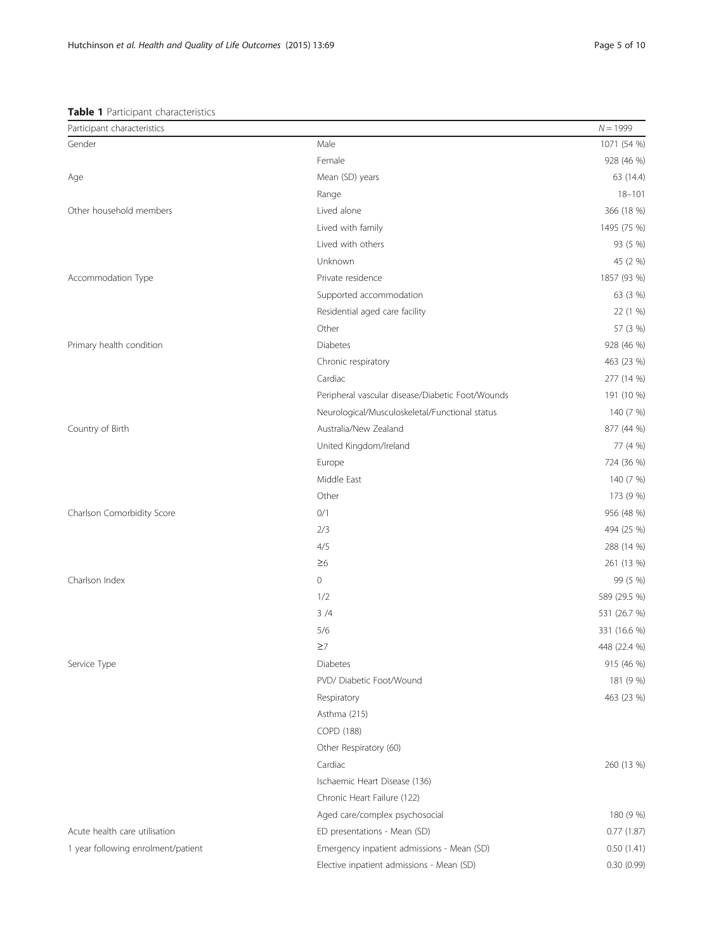## <span id="page-4-0"></span>Table 1 Participant characteristics

| Participant characteristics        |                                                  | $N = 1999$   |
|------------------------------------|--------------------------------------------------|--------------|
| Gender                             | Male                                             | 1071 (54 %)  |
|                                    | Female                                           | 928 (46 %)   |
| Age                                | Mean (SD) years                                  | 63 (14.4)    |
|                                    | Range                                            | $18 - 101$   |
| Other household members            | Lived alone                                      | 366 (18 %)   |
|                                    | Lived with family                                | 1495 (75 %)  |
|                                    | Lived with others                                | 93 (5 %)     |
|                                    | Unknown                                          | 45 (2 %)     |
| Accommodation Type                 | Private residence                                | 1857 (93 %)  |
|                                    | Supported accommodation                          | 63 (3 %)     |
|                                    | Residential aged care facility                   | 22 (1 %)     |
|                                    | Other                                            | 57 (3 %)     |
| Primary health condition           | Diabetes                                         | 928 (46 %)   |
|                                    | Chronic respiratory                              | 463 (23 %)   |
|                                    | Cardiac                                          | 277 (14 %)   |
|                                    | Peripheral vascular disease/Diabetic Foot/Wounds | 191 (10 %)   |
|                                    | Neurological/Musculoskeletal/Functional status   | 140 (7 %)    |
| Country of Birth                   | Australia/New Zealand                            | 877 (44 %)   |
|                                    | United Kingdom/Ireland                           | 77 (4 %)     |
|                                    | Europe                                           | 724 (36 %)   |
|                                    | Middle East                                      | 140 (7 %)    |
|                                    | Other                                            | 173 (9 %)    |
| Charlson Comorbidity Score         | 0/1                                              | 956 (48 %)   |
|                                    | 2/3                                              | 494 (25 %)   |
|                                    | 4/5                                              | 288 (14 %)   |
|                                    | $\geq 6$                                         | 261 (13 %)   |
| Charlson Index                     | $\mathbf 0$                                      | 99 (5 %)     |
|                                    | 1/2                                              | 589 (29.5 %) |
|                                    | 3/4                                              | 531 (26.7 %) |
|                                    | 5/6                                              | 331 (16.6 %) |
|                                    | $\geq$ 7                                         | 448 (22.4 %) |
| Service Type                       | Diabetes                                         | 915 (46 %)   |
|                                    | PVD/ Diabetic Foot/Wound                         | 181 (9 %)    |
|                                    | Respiratory                                      | 463 (23 %)   |
|                                    | Asthma (215)                                     |              |
|                                    | COPD (188)                                       |              |
|                                    | Other Respiratory (60)                           |              |
|                                    | Cardiac                                          | 260 (13 %)   |
|                                    | Ischaemic Heart Disease (136)                    |              |
|                                    | Chronic Heart Failure (122)                      |              |
|                                    | Aged care/complex psychosocial                   | 180 (9 %)    |
| Acute health care utilisation      | ED presentations - Mean (SD)                     | 0.77(1.87)   |
| 1 year following enrolment/patient | Emergency inpatient admissions - Mean (SD)       | 0.50(1.41)   |
|                                    | Elective inpatient admissions - Mean (SD)        | 0.30(0.99)   |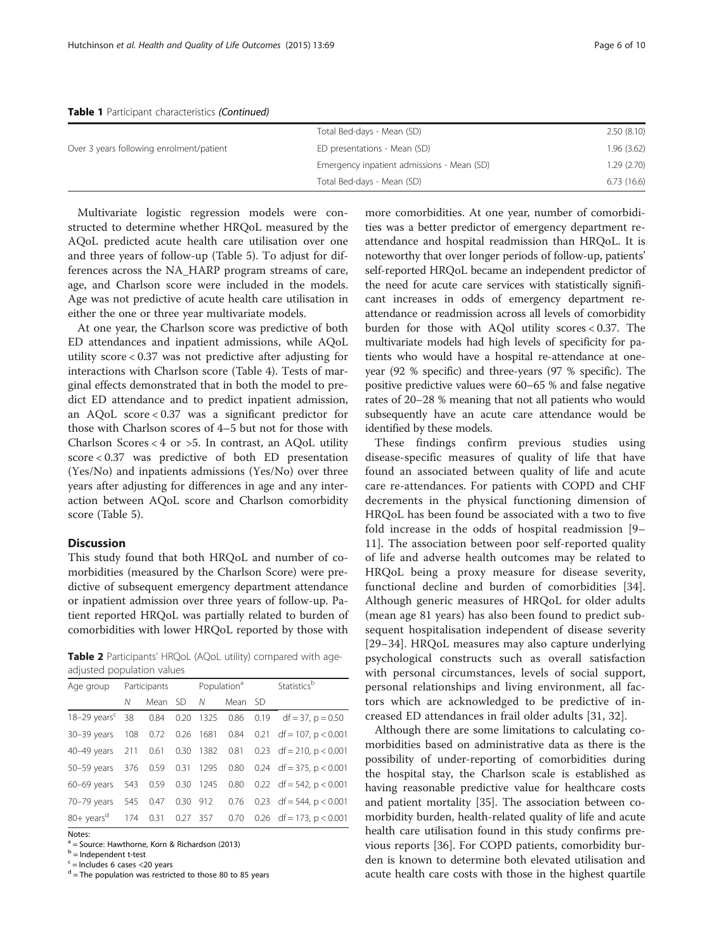|                                          | Total Bed-days - Mean (SD)                 | 2.50(8.10)  |
|------------------------------------------|--------------------------------------------|-------------|
| Over 3 years following enrolment/patient | ED presentations - Mean (SD)               | 1.96 (3.62) |
|                                          | Emergency inpatient admissions - Mean (SD) | 1.29 (2.70) |
|                                          | Total Bed-days - Mean (SD)                 | 6.73(16.6)  |

#### <span id="page-5-0"></span>Table 1 Participant characteristics (Continued)

Multivariate logistic regression models were constructed to determine whether HRQoL measured by the AQoL predicted acute health care utilisation over one and three years of follow-up (Table [5](#page-7-0)). To adjust for differences across the NA\_HARP program streams of care, age, and Charlson score were included in the models. Age was not predictive of acute health care utilisation in either the one or three year multivariate models.

At one year, the Charlson score was predictive of both ED attendances and inpatient admissions, while AQoL utility score < 0.37 was not predictive after adjusting for interactions with Charlson score (Table [4\)](#page-6-0). Tests of marginal effects demonstrated that in both the model to predict ED attendance and to predict inpatient admission, an AQoL score < 0.37 was a significant predictor for those with Charlson scores of 4–5 but not for those with Charlson Scores < 4 or >5. In contrast, an AQoL utility score < 0.37 was predictive of both ED presentation (Yes/No) and inpatients admissions (Yes/No) over three years after adjusting for differences in age and any interaction between AQoL score and Charlson comorbidity score (Table [5](#page-7-0)).

## Discussion

This study found that both HRQoL and number of comorbidities (measured by the Charlson Score) were predictive of subsequent emergency department attendance or inpatient admission over three years of follow-up. Patient reported HRQoL was partially related to burden of comorbidities with lower HRQoL reported by those with

Table 2 Participants' HRQoL (AQoL utility) compared with ageadjusted population values

| Age group                      |   |           |  | Participants Population <sup>a</sup> |         |  | Statisticsb                                                            |
|--------------------------------|---|-----------|--|--------------------------------------|---------|--|------------------------------------------------------------------------|
|                                | Ν | Mean SD N |  |                                      | Mean SD |  |                                                                        |
|                                |   |           |  |                                      |         |  | $18-29 \text{ years}^c$ 38 0.84 0.20 1325 0.86 0.19 df = 37, p = 0.50  |
|                                |   |           |  |                                      |         |  | 30-39 years 108 0.72 0.26 1681 0.84 0.21 df = 107, p < 0.001           |
|                                |   |           |  |                                      |         |  | 40-49 years 211 0.61 0.30 1382 0.81 0.23 df = 210, p < 0.001           |
| 50-59 years 376 0.59 0.31 1295 |   |           |  |                                      |         |  | $0.80$ 0.24 df = 375, p < 0.001                                        |
| 60-69 years 543 0.59 0.30 1245 |   |           |  |                                      |         |  | $0.80$ $0.22$ df = 542, p < 0.001                                      |
|                                |   |           |  |                                      |         |  | 70-79 years 545 0.47 0.30 912 0.76 0.23 df = 544, p < 0.001            |
|                                |   |           |  |                                      |         |  | 80+ years <sup>d</sup> 174 0.31 0.27 357 0.70 0.26 df = 173, p < 0.001 |
| Notes:                         |   |           |  |                                      |         |  |                                                                        |

<sup>a</sup> = Source: Hawthorne, Korn & Richardson (2013)

 $<sup>b</sup>$  = Independent t-test</sup>

 $c$  = Includes 6 cases <20 years

 $d$  = The population was restricted to those 80 to 85 years

more comorbidities. At one year, number of comorbidities was a better predictor of emergency department reattendance and hospital readmission than HRQoL. It is noteworthy that over longer periods of follow-up, patients' self-reported HRQoL became an independent predictor of the need for acute care services with statistically significant increases in odds of emergency department reattendance or readmission across all levels of comorbidity burden for those with AQol utility scores < 0.37. The multivariate models had high levels of specificity for patients who would have a hospital re-attendance at oneyear (92 % specific) and three-years (97 % specific). The positive predictive values were 60–65 % and false negative rates of 20–28 % meaning that not all patients who would subsequently have an acute care attendance would be identified by these models.

These findings confirm previous studies using disease-specific measures of quality of life that have found an associated between quality of life and acute care re-attendances. For patients with COPD and CHF decrements in the physical functioning dimension of HRQoL has been found be associated with a two to five fold increase in the odds of hospital readmission [[9](#page-8-0)– [11\]](#page-8-0). The association between poor self-reported quality of life and adverse health outcomes may be related to HRQoL being a proxy measure for disease severity, functional decline and burden of comorbidities [\[34](#page-9-0)]. Although generic measures of HRQoL for older adults (mean age 81 years) has also been found to predict subsequent hospitalisation independent of disease severity [[29](#page-9-0)–[34](#page-9-0)]. HRQoL measures may also capture underlying psychological constructs such as overall satisfaction with personal circumstances, levels of social support, personal relationships and living environment, all factors which are acknowledged to be predictive of increased ED attendances in frail older adults [[31, 32\]](#page-9-0).

Although there are some limitations to calculating comorbidities based on administrative data as there is the possibility of under-reporting of comorbidities during the hospital stay, the Charlson scale is established as having reasonable predictive value for healthcare costs and patient mortality [\[35\]](#page-9-0). The association between comorbidity burden, health-related quality of life and acute health care utilisation found in this study confirms previous reports [[36\]](#page-9-0). For COPD patients, comorbidity burden is known to determine both elevated utilisation and acute health care costs with those in the highest quartile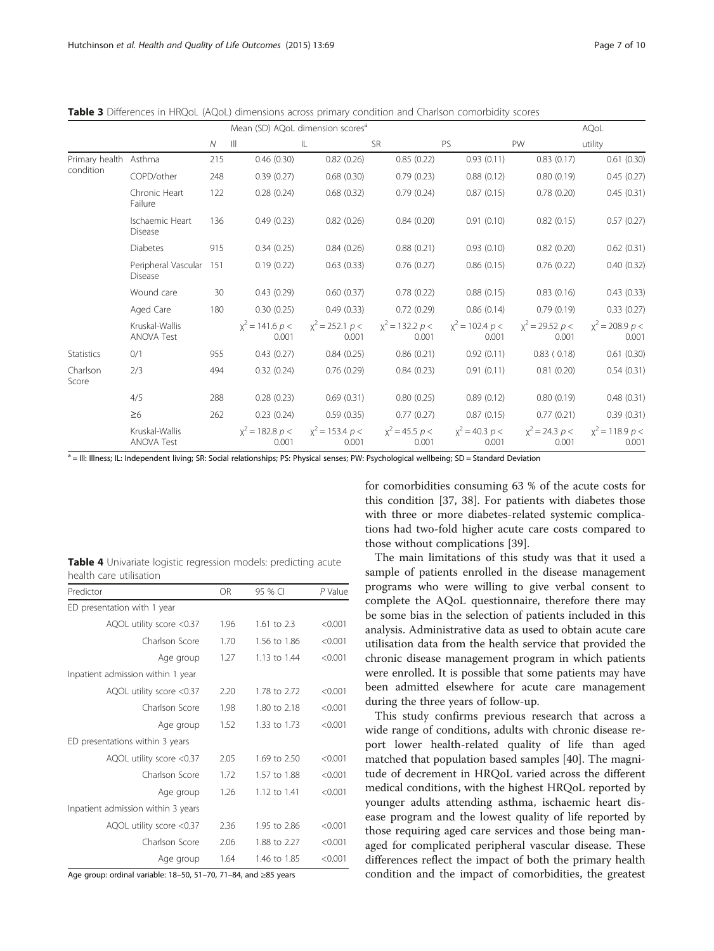<span id="page-6-0"></span>Table 3 Differences in HRQoL (AQoL) dimensions across primary condition and Charlson comorbidity scores

|                       | Mean (SD) AQoL dimension scores <sup>a</sup> |              |                              |                              |                                   |                              |                                   | AQoL                       |
|-----------------------|----------------------------------------------|--------------|------------------------------|------------------------------|-----------------------------------|------------------------------|-----------------------------------|----------------------------|
|                       |                                              | $\mathcal N$ | $\mathbb{H}$                 | IL                           | <b>SR</b>                         | <b>PS</b>                    | PW                                | utility                    |
| Primary health Asthma |                                              | 215          | 0.46(0.30)                   | 0.82(0.26)                   | 0.85(0.22)                        | 0.93(0.11)                   | 0.83(0.17)                        | 0.61(0.30)                 |
| condition             | COPD/other                                   | 248          | 0.39(0.27)                   | 0.68(0.30)                   | 0.79(0.23)                        | 0.88(0.12)                   | 0.80(0.19)                        | 0.45(0.27)                 |
|                       | Chronic Heart<br>Failure                     | 122          | 0.28(0.24)                   | 0.68(0.32)                   | 0.79(0.24)                        | 0.87(0.15)                   | 0.78(0.20)                        | 0.45(0.31)                 |
|                       | Ischaemic Heart<br>Disease                   | 136          | 0.49(0.23)                   | 0.82(0.26)                   | 0.84(0.20)                        | 0.91(0.10)                   | 0.82(0.15)                        | 0.57(0.27)                 |
|                       | Diabetes                                     | 915          | 0.34(0.25)                   | 0.84(0.26)                   | 0.88(0.21)                        | 0.93(0.10)                   | 0.82(0.20)                        | 0.62(0.31)                 |
|                       | Peripheral Vascular<br><b>Disease</b>        | 151          | 0.19(0.22)                   | 0.63(0.33)                   | 0.76(0.27)                        | 0.86(0.15)                   | 0.76(0.22)                        | 0.40(0.32)                 |
|                       | Wound care                                   | 30           | 0.43(0.29)                   | 0.60(0.37)                   | 0.78(0.22)                        | 0.88(0.15)                   | 0.83(0.16)                        | 0.43(0.33)                 |
|                       | Aged Care                                    | 180          | 0.30(0.25)                   | 0.49(0.33)                   | 0.72(0.29)                        | 0.86(0.14)                   | 0.79(0.19)                        | 0.33(0.27)                 |
|                       | Kruskal-Wallis<br><b>ANOVA Test</b>          |              | $x^2$ = 141.6 $p$ <<br>0.001 | $x^2 = 252.1 p <$<br>0.001   | $x^2$ = 132.2 <i>p</i> <<br>0.001 | $x^2$ = 102.4 $p$ <<br>0.001 | $x^2$ = 29.52 <i>p</i> <<br>0.001 | $x^2$ = 208.9 p <<br>0.001 |
| Statistics            | 0/1                                          | 955          | 0.43(0.27)                   | 0.84(0.25)                   | 0.86(0.21)                        | 0.92(0.11)                   | 0.83(0.18)                        | 0.61(0.30)                 |
| Charlson<br>Score     | 2/3                                          | 494          | 0.32(0.24)                   | 0.76(0.29)                   | 0.84(0.23)                        | 0.91(0.11)                   | 0.81(0.20)                        | 0.54(0.31)                 |
|                       | 4/5                                          | 288          | 0.28(0.23)                   | 0.69(0.31)                   | 0.80(0.25)                        | 0.89(0.12)                   | 0.80(0.19)                        | 0.48(0.31)                 |
|                       | $\geq 6$                                     | 262          | 0.23(0.24)                   | 0.59(0.35)                   | 0.77(0.27)                        | 0.87(0.15)                   | 0.77(0.21)                        | 0.39(0.31)                 |
|                       | Kruskal-Wallis<br><b>ANOVA Test</b>          |              | $x^2$ = 182.8 $p$ <<br>0.001 | $x^2$ = 153.4 $p$ <<br>0.001 | $x^2 = 45.5 p <$<br>0.001         | $x^2 = 40.3 p <$<br>0.001    | $x^2 = 24.3 p <$<br>0.001         | $x^2$ = 118.9 p <<br>0.001 |

a = III: Illness; IL: Independent living; SR: Social relationships; PS: Physical senses; PW: Psychological wellbeing; SD = Standard Deviation

| Table 4 Univariate logistic regression models: predicting acute |  |  |  |
|-----------------------------------------------------------------|--|--|--|
| health care utilisation                                         |  |  |  |

| Predictor                          | <b>OR</b> | 95 % CI      | P Value |
|------------------------------------|-----------|--------------|---------|
| ED presentation with 1 year        |           |              |         |
| AQOL utility score <0.37           | 1.96      | 1.61 to 2.3  | < 0.001 |
| Charlson Score                     | 1.70      | 1.56 to 1.86 | < 0.001 |
| Age group                          | 1.27      | 1.13 to 1.44 | < 0.001 |
| Inpatient admission within 1 year  |           |              |         |
| AQOL utility score <0.37           | 2.20      | 1.78 to 2.72 | < 0.001 |
| Charlson Score                     | 1.98      | 1.80 to 2.18 | < 0.001 |
| Age group                          | 1.52      | 1.33 to 1.73 | < 0.001 |
| ED presentations within 3 years    |           |              |         |
| AQOL utility score <0.37           | 2.05      | 1.69 to 2.50 | < 0.001 |
| Charlson Score                     | 1.72      | 1.57 to 1.88 | < 0.001 |
| Age group                          | 1.26      | 1.12 to 1.41 | < 0.001 |
| Inpatient admission within 3 years |           |              |         |
| AQOL utility score <0.37           | 2.36      | 1.95 to 2.86 | < 0.001 |
| Charlson Score                     | 2.06      | 1.88 to 2.27 | < 0.001 |
| Age group                          | 1.64      | 1.46 to 1.85 | < 0.001 |

Age group: ordinal variable: 18–50, 51–70, 71–84, and ≥85 years

for comorbidities consuming 63 % of the acute costs for this condition [\[37](#page-9-0), [38](#page-9-0)]. For patients with diabetes those with three or more diabetes-related systemic complications had two-fold higher acute care costs compared to those without complications [[39\]](#page-9-0).

The main limitations of this study was that it used a sample of patients enrolled in the disease management programs who were willing to give verbal consent to complete the AQoL questionnaire, therefore there may be some bias in the selection of patients included in this analysis. Administrative data as used to obtain acute care utilisation data from the health service that provided the chronic disease management program in which patients were enrolled. It is possible that some patients may have been admitted elsewhere for acute care management during the three years of follow-up.

This study confirms previous research that across a wide range of conditions, adults with chronic disease report lower health-related quality of life than aged matched that population based samples [[40\]](#page-9-0). The magnitude of decrement in HRQoL varied across the different medical conditions, with the highest HRQoL reported by younger adults attending asthma, ischaemic heart disease program and the lowest quality of life reported by those requiring aged care services and those being managed for complicated peripheral vascular disease. These differences reflect the impact of both the primary health condition and the impact of comorbidities, the greatest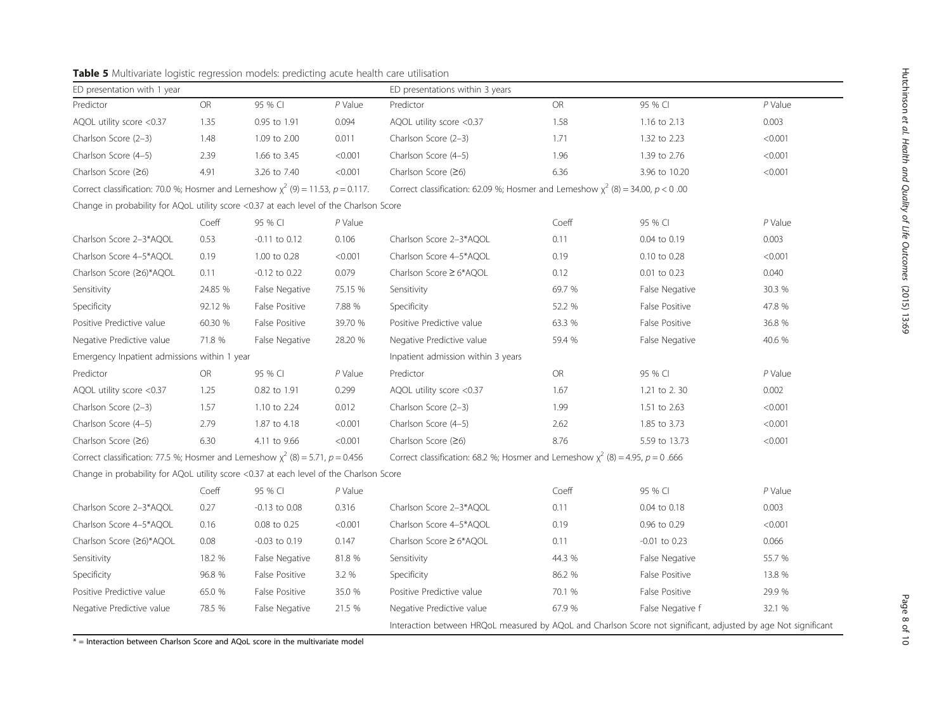| J.       | $P$ Value |  |
|----------|-----------|--|
| 2.13     | 0.003     |  |
| 2.23     | < 0.001   |  |
| 2.76     | < 0.001   |  |
| 10.20    | < 0.001   |  |
| 0.00     |           |  |
|          |           |  |
| ו        | $P$ Value |  |
| 0.19     | 0.003     |  |
| 0.28     | < 0.001   |  |
| 0.23     | 0.040     |  |
| legative | 30.3 %    |  |
| ositive  | 47.8 %    |  |
| ositive  | 36.8 %    |  |
| legative | 40.6 %    |  |
|          |           |  |
| <u>ו</u> | $P$ Value |  |
| 2.30     | 0.002     |  |
| 2.63     | < 0.001   |  |
| 3.73     | < 0.001   |  |
| 13.73    | < 0.001   |  |

<span id="page-7-0"></span>

ED presentation with 1 year extended the state of the ED presentations within 3 years

| Predictor                                                                              | OR        | 95 % CI           | P Value   | Predictor                                                                                                      | OR        | 95 % CI          | P Value   |  |  |
|----------------------------------------------------------------------------------------|-----------|-------------------|-----------|----------------------------------------------------------------------------------------------------------------|-----------|------------------|-----------|--|--|
| AQOL utility score <0.37                                                               | 1.35      | 0.95 to 1.91      | 0.094     | AQOL utility score <0.37                                                                                       | 1.58      | 1.16 to 2.13     | 0.003     |  |  |
| Charlson Score (2-3)                                                                   | 1.48      | 1.09 to 2.00      | 0.011     | Charlson Score (2-3)                                                                                           | 1.71      | 1.32 to 2.23     | < 0.001   |  |  |
| Charlson Score (4-5)                                                                   | 2.39      | 1.66 to 3.45      | < 0.001   | Charlson Score (4-5)                                                                                           | 1.96      | 1.39 to 2.76     | < 0.001   |  |  |
| Charlson Score (≥6)                                                                    | 4.91      | 3.26 to 7.40      | < 0.001   | Charlson Score (≥6)                                                                                            | 6.36      | 3.96 to 10.20    | < 0.001   |  |  |
| Correct classification: 70.0 %; Hosmer and Lemeshow $\chi^2$ (9) = 11.53, p = 0.117.   |           |                   |           | Correct classification: 62.09 %; Hosmer and Lemeshow $\chi^2$ (8) = 34.00, p < 0.00                            |           |                  |           |  |  |
| Change in probability for AQoL utility score <0.37 at each level of the Charlson Score |           |                   |           |                                                                                                                |           |                  |           |  |  |
|                                                                                        | Coeff     | 95 % CI           | $P$ Value |                                                                                                                | Coeff     | 95 % CI          | $P$ Value |  |  |
| Charlson Score 2-3*AQOL                                                                | 0.53      | $-0.11$ to $0.12$ | 0.106     | Charlson Score 2-3*AQOL                                                                                        | 0.11      | 0.04 to 0.19     | 0.003     |  |  |
| Charlson Score 4-5*AQOL                                                                | 0.19      | 1.00 to 0.28      | < 0.001   | Charlson Score 4-5*AQOL                                                                                        | 0.19      | 0.10 to 0.28     | < 0.001   |  |  |
| Charlson Score (≥6)*AQOL                                                               | 0.11      | -0.12 to 0.22     | 0.079     | Charlson Score ≥ 6*AQOL                                                                                        | 0.12      | 0.01 to 0.23     | 0.040     |  |  |
| Sensitivity                                                                            | 24.85 %   | False Negative    | 75.15 %   | Sensitivity                                                                                                    | 69.7 %    | False Negative   | 30.3 %    |  |  |
| Specificity                                                                            | 92.12 %   | False Positive    | 7.88 %    | Specificity                                                                                                    | 52.2 %    | False Positive   | 47.8 %    |  |  |
| Positive Predictive value                                                              | 60.30 %   | False Positive    | 39.70 %   | Positive Predictive value                                                                                      | 63.3 %    | False Positive   | 36.8 %    |  |  |
| Negative Predictive value                                                              | 71.8 %    | False Negative    | 28.20 %   | Negative Predictive value                                                                                      | 59.4 %    | False Negative   | 40.6 %    |  |  |
| Emergency Inpatient admissions within 1 year                                           |           |                   |           | Inpatient admission within 3 years                                                                             |           |                  |           |  |  |
| Predictor                                                                              | <b>OR</b> | 95 % CI           | $P$ Value | Predictor                                                                                                      | <b>OR</b> | 95 % CI          | $P$ Value |  |  |
| AQOL utility score <0.37                                                               | 1.25      | 0.82 to 1.91      | 0.299     | AQOL utility score <0.37                                                                                       | 1.67      | 1.21 to 2.30     | 0.002     |  |  |
| Charlson Score (2-3)                                                                   | 1.57      | 1.10 to 2.24      | 0.012     | Charlson Score (2-3)                                                                                           | 1.99      | 1.51 to 2.63     | < 0.001   |  |  |
| Charlson Score (4-5)                                                                   | 2.79      | 1.87 to 4.18      | < 0.001   | Charlson Score (4-5)                                                                                           | 2.62      | 1.85 to 3.73     | < 0.001   |  |  |
| Charlson Score (≥6)                                                                    | 6.30      | 4.11 to 9.66      | < 0.001   | Charlson Score (≥6)                                                                                            | 8.76      | 5.59 to 13.73    | < 0.001   |  |  |
| Correct classification: 77.5 %; Hosmer and Lemeshow $\chi^2$ (8) = 5.71, p = 0.456     |           |                   |           | Correct classification: 68.2 %; Hosmer and Lemeshow $\chi^2$ (8) = 4.95, p = 0.666                             |           |                  |           |  |  |
| Change in probability for AQoL utility score <0.37 at each level of the Charlson Score |           |                   |           |                                                                                                                |           |                  |           |  |  |
|                                                                                        | Coeff     | 95 % CI           | $P$ Value |                                                                                                                | Coeff     | 95 % CI          | $P$ Value |  |  |
| Charlson Score 2-3*AQOL                                                                | 0.27      | $-0.13$ to $0.08$ | 0.316     | Charlson Score 2-3*AQOL                                                                                        | 0.11      | 0.04 to 0.18     | 0.003     |  |  |
| Charlson Score 4-5*AQOL                                                                | 0.16      | 0.08 to 0.25      | < 0.001   | Charlson Score 4-5*AQOL                                                                                        | 0.19      | 0.96 to 0.29     | < 0.001   |  |  |
| Charlson Score (≥6)*AQOL                                                               | 0.08      | -0.03 to 0.19     | 0.147     | Charlson Score ≥ 6*AQOL                                                                                        | 0.11      | -0.01 to 0.23    | 0.066     |  |  |
| Sensitivity                                                                            | 18.2 %    | False Negative    | 81.8 %    | Sensitivity                                                                                                    | 44.3 %    | False Negative   | 55.7 %    |  |  |
| Specificity                                                                            | 96.8 %    | False Positive    | 3.2 %     | Specificity                                                                                                    | 86.2 %    | False Positive   | 13.8 %    |  |  |
| Positive Predictive value                                                              | 65.0 %    | False Positive    | 35.0 %    | Positive Predictive value                                                                                      | 70.1 %    | False Positive   | 29.9 %    |  |  |
| Negative Predictive value                                                              | 78.5 %    | False Negative    | 21.5 %    | Negative Predictive value                                                                                      | 67.9 %    | False Negative f | 32.1 %    |  |  |
|                                                                                        |           |                   |           | Interaction between HRQoL measured by AQoL and Charlson Score not significant, adjusted by age Not significant |           |                  |           |  |  |

 $* =$  Interaction between Charlson Score and AQoL score in the multivariate model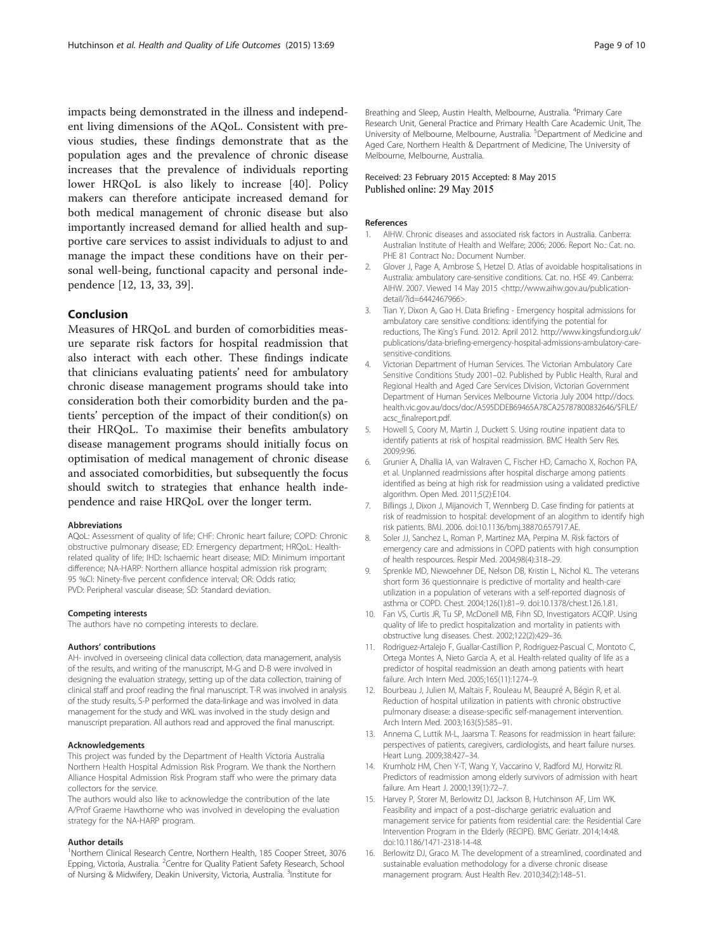<span id="page-8-0"></span>impacts being demonstrated in the illness and independent living dimensions of the AQoL. Consistent with previous studies, these findings demonstrate that as the population ages and the prevalence of chronic disease increases that the prevalence of individuals reporting lower HRQoL is also likely to increase [\[40](#page-9-0)]. Policy makers can therefore anticipate increased demand for both medical management of chronic disease but also importantly increased demand for allied health and supportive care services to assist individuals to adjust to and manage the impact these conditions have on their personal well-being, functional capacity and personal independence [12, 13, [33](#page-9-0), [39](#page-9-0)].

## Conclusion

Measures of HRQoL and burden of comorbidities measure separate risk factors for hospital readmission that also interact with each other. These findings indicate that clinicians evaluating patients' need for ambulatory chronic disease management programs should take into consideration both their comorbidity burden and the patients' perception of the impact of their condition(s) on their HRQoL. To maximise their benefits ambulatory disease management programs should initially focus on optimisation of medical management of chronic disease and associated comorbidities, but subsequently the focus should switch to strategies that enhance health independence and raise HRQoL over the longer term.

#### Abbreviations

AQoL: Assessment of quality of life; CHF: Chronic heart failure; COPD: Chronic obstructive pulmonary disease; ED: Emergency department; HRQoL: Healthrelated quality of life; IHD: Ischaemic heart disease; MID: Minimum important difference; NA-HARP: Northern alliance hospital admission risk program; 95 %CI: Ninety-five percent confidence interval; OR: Odds ratio; PVD: Peripheral vascular disease; SD: Standard deviation.

#### Competing interests

The authors have no competing interests to declare.

#### Authors' contributions

AH- involved in overseeing clinical data collection, data management, analysis of the results, and writing of the manuscript, M-G and D-B were involved in designing the evaluation strategy, setting up of the data collection, training of clinical staff and proof reading the final manuscript. T-R was involved in analysis of the study results, S-P performed the data-linkage and was involved in data management for the study and WKL was involved in the study design and manuscript preparation. All authors read and approved the final manuscript.

#### Acknowledgements

This project was funded by the Department of Health Victoria Australia Northern Health Hospital Admission Risk Program. We thank the Northern Alliance Hospital Admission Risk Program staff who were the primary data collectors for the service.

The authors would also like to acknowledge the contribution of the late A/Prof Graeme Hawthorne who was involved in developing the evaluation strategy for the NA-HARP program.

#### Author details

<sup>1</sup>Northern Clinical Research Centre, Northern Health, 185 Cooper Street, 3076 Epping, Victoria, Australia. <sup>2</sup>Centre for Quality Patient Safety Research, School of Nursing & Midwifery, Deakin University, Victoria, Australia. <sup>3</sup>Institute for

Breathing and Sleep, Austin Health, Melbourne, Australia. <sup>4</sup>Primary Care Research Unit, General Practice and Primary Health Care Academic Unit, The University of Melbourne, Melbourne, Australia. <sup>5</sup>Department of Medicine and Aged Care, Northern Health & Department of Medicine, The University of Melbourne, Melbourne, Australia.

#### Received: 23 February 2015 Accepted: 8 May 2015 Published online: 29 May 2015

#### References

- 1. AIHW. Chronic diseases and associated risk factors in Australia. Canberra: Australian Institute of Health and Welfare; 2006; 2006. Report No.: Cat. no. PHE 81 Contract No.: Document Number.
- 2. Glover J, Page A, Ambrose S, Hetzel D. Atlas of avoidable hospitalisations in Australia: ambulatory care-sensitive conditions. Cat. no. HSE 49. Canberra: AIHW. 2007. Viewed 14 May 2015 <[http://www.aihw.gov.au/publication](http://www.aihw.gov.au/publication-detail/?id=6442467966)[detail/?id=6442467966](http://www.aihw.gov.au/publication-detail/?id=6442467966)>.
- 3. Tian Y, Dixon A, Gao H. Data Briefing Emergency hospital admissions for ambulatory care sensitive conditions: identifying the potential for reductions, The King's Fund. 2012. April 2012. [http://www.kingsfund.org.uk/](http://www.kingsfund.org.uk/publications/data-briefing-emergency-hospital-admissions-ambulatory-care-sensitive-conditions) [publications/data-briefing-emergency-hospital-admissions-ambulatory-care](http://www.kingsfund.org.uk/publications/data-briefing-emergency-hospital-admissions-ambulatory-care-sensitive-conditions)[sensitive-conditions.](http://www.kingsfund.org.uk/publications/data-briefing-emergency-hospital-admissions-ambulatory-care-sensitive-conditions)
- 4. Victorian Department of Human Services. The Victorian Ambulatory Care Sensitive Conditions Study 2001–02. Published by Public Health, Rural and Regional Health and Aged Care Services Division, Victorian Government Department of Human Services Melbourne Victoria July 2004 [http://docs.](http://docs.health.vic.gov.au/docs/doc/A595DDEB69465A78CA25787800832646/FILE/acsc_finalreport.pdf) [health.vic.gov.au/docs/doc/A595DDEB69465A78CA25787800832646/\\$FILE/](http://docs.health.vic.gov.au/docs/doc/A595DDEB69465A78CA25787800832646/FILE/acsc_finalreport.pdf) [acsc\\_finalreport.pdf](http://docs.health.vic.gov.au/docs/doc/A595DDEB69465A78CA25787800832646/FILE/acsc_finalreport.pdf).
- 5. Howell S, Coory M, Martin J, Duckett S. Using routine inpatient data to identify patients at risk of hospital readmission. BMC Health Serv Res. 2009;9:96.
- 6. Grunier A, Dhallia IA, van Walraven C, Fischer HD, Camacho X, Rochon PA, et al. Unplanned readmissions after hospital discharge among patients identified as being at high risk for readmission using a validated predictive algorithm. Open Med. 2011;5(2):E104.
- 7. Billings J, Dixon J, Mijanovich T, Wennberg D. Case finding for patients at risk of readmission to hospital: development of an alogithm to identify high risk patients. BMJ. 2006. doi:10.1136/bmj.38870.657917.AE.
- 8. Soler JJ, Sanchez L, Roman P, Martinez MA, Perpina M. Risk factors of emergency care and admissions in COPD patients with high consumption of health respources. Respir Med. 2004;98(4):318–29.
- 9. Sprenkle MD, Niewoehner DE, Nelson DB, Kristin L, Nichol KL. The veterans short form 36 questionnaire is predictive of mortality and health-care utilization in a population of veterans with a self-reported diagnosis of asthma or COPD. Chest. 2004;126(1):81–9. doi:10.1378/chest.126.1.81.
- 10. Fan VS, Curtis JR, Tu SP, McDonell MB, Fihn SD, Investigators ACQIP. Using quality of life to predict hospitalization and mortality in patients with obstructive lung diseases. Chest. 2002;122(2):429–36.
- 11. Rodriguez-Artalejo F, Guallar-Castillion P, Rodriguez-Pascual C, Montoto C, Ortega Montes A, Nieto Garcia A, et al. Health-related quality of life as a predictor of hospital readmission an death among patients with heart failure. Arch Intern Med. 2005;165(11):1274–9.
- 12. Bourbeau J, Julien M, Maltais F, Rouleau M, Beaupré A, Bégin R, et al. Reduction of hospital utilization in patients with chronic obstructive pulmonary disease: a disease-specific self-management intervention. Arch Intern Med. 2003;163(5):585–91.
- 13. Annema C, Luttik M-L, Jaarsma T. Reasons for readmission in heart failure: perspectives of patients, caregivers, cardiologists, and heart failure nurses. Heart Lung. 2009;38:427–34.
- 14. Krumholz HM, Chen Y-T, Wang Y, Vaccarino V, Radford MJ, Horwitz RI. Predictors of readmission among elderly survivors of admission with heart failure. Am Heart J. 2000;139(1):72–7.
- 15. Harvey P, Storer M, Berlowitz DJ, Jackson B, Hutchinson AF, Lim WK. Feasibility and impact of a post–discharge geriatric evaluation and management service for patients from residential care: the Residential Care Intervention Program in the Elderly (RECIPE). BMC Geriatr. 2014;14:48. doi:10.1186/1471-2318-14-48.
- 16. Berlowitz DJ, Graco M. The development of a streamlined, coordinated and sustainable evaluation methodology for a diverse chronic disease management program. Aust Health Rev. 2010;34(2):148–51.